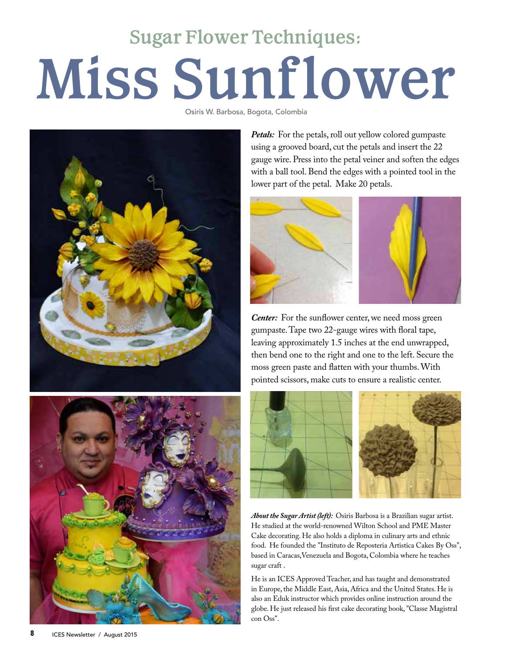## **Miss Sunf lower Sugar Flower Techniques:**

Osiris W. Barbosa, Bogota, Colombia



Petals: For the petals, roll out yellow colored gumpaste using a grooved board, cut the petals and insert the 22 gauge wire. Press into the petal veiner and soften the edges with a ball tool. Bend the edges with a pointed tool in the lower part of the petal. Make 20 petals.





*Center:* For the sunflower center, we need moss green gumpaste. Tape two 22-gauge wires with floral tape, leaving approximately 1.5 inches at the end unwrapped, then bend one to the right and one to the left. Secure the moss green paste and flatten with your thumbs. With pointed scissors, make cuts to ensure a realistic center.



*About the Sugar Artist (left):* Osiris Barbosa is a Brazilian sugar artist. He studied at the world-renowned Wilton School and PME Master Cake decorating. He also holds a diploma in culinary arts and ethnic food. He founded the "Instituto de Reposteria Artistica Cakes By Oss", based in Caracas,Venezuela and Bogota, Colombia where he teaches sugar craft .

He is an ICES Approved Teacher, and has taught and demonstrated in Europe, the Middle East, Asia, Africa and the United States. He is also an Eduk instructor which provides online instruction around the globe. He just released his first cake decorating book, "Classe Magistral con Oss".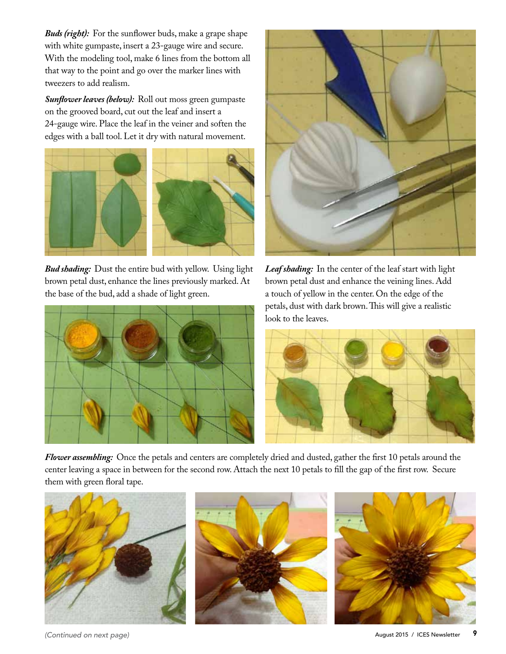*Buds (right):* For the sunflower buds, make a grape shape with white gumpaste, insert a 23-gauge wire and secure. With the modeling tool, make 6 lines from the bottom all that way to the point and go over the marker lines with tweezers to add realism.

*Sunflower leaves (below):* Roll out moss green gumpaste on the grooved board, cut out the leaf and insert a 24-gauge wire. Place the leaf in the veiner and soften the edges with a ball tool. Let it dry with natural movement.



*Bud shading:* Dust the entire bud with yellow. Using light brown petal dust, enhance the lines previously marked. At the base of the bud, add a shade of light green.





*Leaf shading:* In the center of the leaf start with light brown petal dust and enhance the veining lines. Add a touch of yellow in the center. On the edge of the petals, dust with dark brown. This will give a realistic look to the leaves.



*Flower assembling:* Once the petals and centers are completely dried and dusted, gather the first 10 petals around the center leaving a space in between for the second row. Attach the next 10 petals to fill the gap of the first row. Secure them with green floral tape.